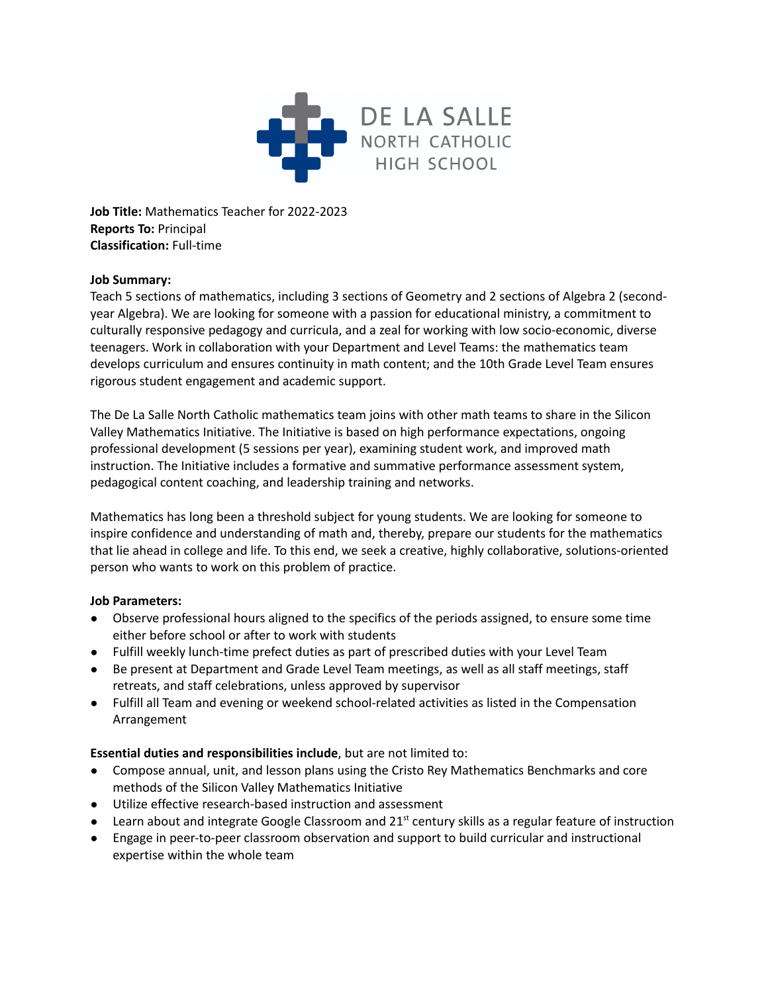

**Job Title:** Mathematics Teacher for 2022-2023 **Reports To:** Principal **Classification:** Full-time

## **Job Summary:**

Teach 5 sections of mathematics, including 3 sections of Geometry and 2 sections of Algebra 2 (secondyear Algebra). We are looking for someone with a passion for educational ministry, a commitment to culturally responsive pedagogy and curricula, and a zeal for working with low socio-economic, diverse teenagers. Work in collaboration with your Department and Level Teams: the mathematics team develops curriculum and ensures continuity in math content; and the 10th Grade Level Team ensures rigorous student engagement and academic support.

The De La Salle North Catholic mathematics team joins with other math teams to share in the Silicon Valley Mathematics Initiative. The Initiative is based on high performance expectations, ongoing professional development (5 sessions per year), examining student work, and improved math instruction. The Initiative includes a formative and summative performance assessment system, pedagogical content coaching, and leadership training and networks.

Mathematics has long been a threshold subject for young students. We are looking for someone to inspire confidence and understanding of math and, thereby, prepare our students for the mathematics that lie ahead in college and life. To this end, we seek a creative, highly collaborative, solutions-oriented person who wants to work on this problem of practice.

## **Job Parameters:**

- Observe professional hours aligned to the specifics of the periods assigned, to ensure some time either before school or after to work with students
- Fulfill weekly lunch-time prefect duties as part of prescribed duties with your Level Team
- Be present at Department and Grade Level Team meetings, as well as all staff meetings, staff retreats, and staff celebrations, unless approved by supervisor
- Fulfill all Team and evening or weekend school-related activities as listed in the Compensation Arrangement

# **Essential duties and responsibilities include**, but are not limited to:

- Compose annual, unit, and lesson plans using the Cristo Rey Mathematics Benchmarks and core methods of the Silicon Valley Mathematics Initiative
- Utilize effective research-based instruction and assessment
- Learn about and integrate Google Classroom and 21<sup>st</sup> century skills as a regular feature of instruction
- Engage in peer-to-peer classroom observation and support to build curricular and instructional expertise within the whole team